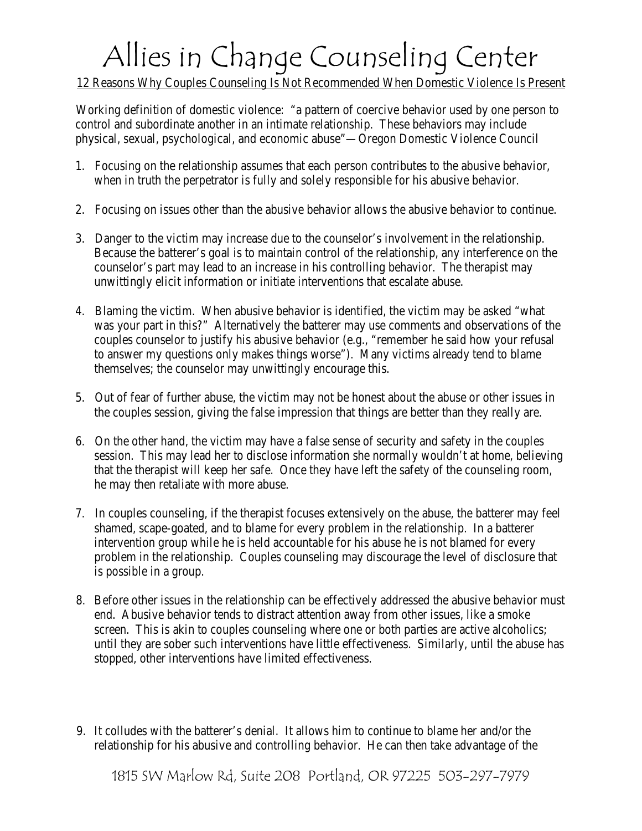## Allies in Change Counseling Center

## 12 Reasons Why Couples Counseling Is Not Recommended When Domestic Violence Is Present

Working definition of domestic violence: "a pattern of coercive behavior used by one person to control and subordinate another in an intimate relationship. These behaviors may include physical, sexual, psychological, and economic abuse"—Oregon Domestic Violence Council

- 1. Focusing on the relationship assumes that each person contributes to the abusive behavior, when in truth the perpetrator is fully and solely responsible for his abusive behavior.
- 2. Focusing on issues other than the abusive behavior allows the abusive behavior to continue.
- 3. Danger to the victim may increase due to the counselor's involvement in the relationship. Because the batterer's goal is to maintain control of the relationship, any interference on the counselor's part may lead to an increase in his controlling behavior. The therapist may unwittingly elicit information or initiate interventions that escalate abuse.
- 4. Blaming the victim. When abusive behavior is identified, the victim may be asked "what was your part in this?" Alternatively the batterer may use comments and observations of the couples counselor to justify his abusive behavior (e.g., "remember he said how your refusal to answer my questions only makes things worse"). Many victims already tend to blame themselves; the counselor may unwittingly encourage this.
- 5. Out of fear of further abuse, the victim may not be honest about the abuse or other issues in the couples session, giving the false impression that things are better than they really are.
- 6. On the other hand, the victim may have a false sense of security and safety in the couples session. This may lead her to disclose information she normally wouldn't at home, believing that the therapist will keep her safe. Once they have left the safety of the counseling room, he may then retaliate with more abuse.
- 7. In couples counseling, if the therapist focuses extensively on the abuse, the batterer may feel shamed, scape-goated, and to blame for every problem in the relationship. In a batterer intervention group while he is held accountable for his abuse he is not blamed for every problem in the relationship. Couples counseling may discourage the level of disclosure that is possible in a group.
- 8. Before other issues in the relationship can be effectively addressed the abusive behavior must end. Abusive behavior tends to distract attention away from other issues, like a smoke screen. This is akin to couples counseling where one or both parties are active alcoholics; until they are sober such interventions have little effectiveness. Similarly, until the abuse has stopped, other interventions have limited effectiveness.
- 9. It colludes with the batterer's denial. It allows him to continue to blame her and/or the relationship for his abusive and controlling behavior. He can then take advantage of the